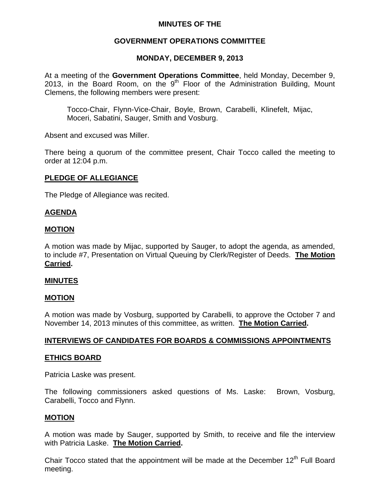# **MINUTES OF THE**

## **GOVERNMENT OPERATIONS COMMITTEE**

### **MONDAY, DECEMBER 9, 2013**

At a meeting of the **Government Operations Committee**, held Monday, December 9, 2013, in the Board Room, on the  $9<sup>th</sup>$  Floor of the Administration Building, Mount Clemens, the following members were present:

Tocco-Chair, Flynn-Vice-Chair, Boyle, Brown, Carabelli, Klinefelt, Mijac, Moceri, Sabatini, Sauger, Smith and Vosburg.

Absent and excused was Miller.

There being a quorum of the committee present, Chair Tocco called the meeting to order at 12:04 p.m.

## **PLEDGE OF ALLEGIANCE**

The Pledge of Allegiance was recited.

#### **AGENDA**

#### **MOTION**

A motion was made by Mijac, supported by Sauger, to adopt the agenda, as amended, to include #7, Presentation on Virtual Queuing by Clerk/Register of Deeds. **The Motion Carried.** 

#### **MINUTES**

#### **MOTION**

A motion was made by Vosburg, supported by Carabelli, to approve the October 7 and November 14, 2013 minutes of this committee, as written. **The Motion Carried.** 

#### **INTERVIEWS OF CANDIDATES FOR BOARDS & COMMISSIONS APPOINTMENTS**

#### **ETHICS BOARD**

Patricia Laske was present.

The following commissioners asked questions of Ms. Laske: Brown, Vosburg, Carabelli, Tocco and Flynn.

#### **MOTION**

A motion was made by Sauger, supported by Smith, to receive and file the interview with Patricia Laske. **The Motion Carried.** 

Chair Tocco stated that the appointment will be made at the December  $12<sup>th</sup>$  Full Board meeting.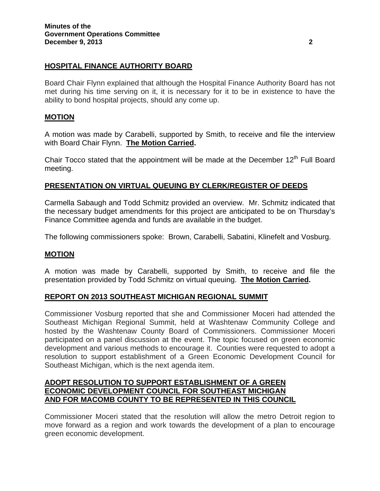# **HOSPITAL FINANCE AUTHORITY BOARD**

Board Chair Flynn explained that although the Hospital Finance Authority Board has not met during his time serving on it, it is necessary for it to be in existence to have the ability to bond hospital projects, should any come up.

# **MOTION**

A motion was made by Carabelli, supported by Smith, to receive and file the interview with Board Chair Flynn. **The Motion Carried.** 

Chair Tocco stated that the appointment will be made at the December  $12<sup>th</sup>$  Full Board meeting.

## **PRESENTATION ON VIRTUAL QUEUING BY CLERK/REGISTER OF DEEDS**

Carmella Sabaugh and Todd Schmitz provided an overview. Mr. Schmitz indicated that the necessary budget amendments for this project are anticipated to be on Thursday's Finance Committee agenda and funds are available in the budget.

The following commissioners spoke: Brown, Carabelli, Sabatini, Klinefelt and Vosburg.

#### **MOTION**

A motion was made by Carabelli, supported by Smith, to receive and file the presentation provided by Todd Schmitz on virtual queuing. **The Motion Carried.** 

#### **REPORT ON 2013 SOUTHEAST MICHIGAN REGIONAL SUMMIT**

Commissioner Vosburg reported that she and Commissioner Moceri had attended the Southeast Michigan Regional Summit, held at Washtenaw Community College and hosted by the Washtenaw County Board of Commissioners. Commissioner Moceri participated on a panel discussion at the event. The topic focused on green economic development and various methods to encourage it. Counties were requested to adopt a resolution to support establishment of a Green Economic Development Council for Southeast Michigan, which is the next agenda item.

# **ADOPT RESOLUTION TO SUPPORT ESTABLISHMENT OF A GREEN ECONOMIC DEVELOPMENT COUNCIL FOR SOUTHEAST MICHIGAN AND FOR MACOMB COUNTY TO BE REPRESENTED IN THIS COUNCIL**

Commissioner Moceri stated that the resolution will allow the metro Detroit region to move forward as a region and work towards the development of a plan to encourage green economic development.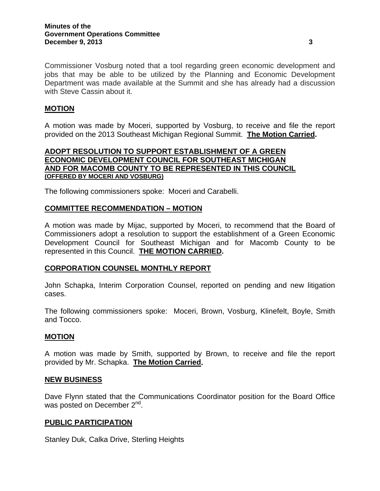# **MOTION**

A motion was made by Moceri, supported by Vosburg, to receive and file the report provided on the 2013 Southeast Michigan Regional Summit. **The Motion Carried.** 

## **ADOPT RESOLUTION TO SUPPORT ESTABLISHMENT OF A GREEN ECONOMIC DEVELOPMENT COUNCIL FOR SOUTHEAST MICHIGAN AND FOR MACOMB COUNTY TO BE REPRESENTED IN THIS COUNCIL (OFFERED BY MOCERI AND VOSBURG)**

The following commissioners spoke: Moceri and Carabelli.

## **COMMITTEE RECOMMENDATION – MOTION**

A motion was made by Mijac, supported by Moceri, to recommend that the Board of Commissioners adopt a resolution to support the establishment of a Green Economic Development Council for Southeast Michigan and for Macomb County to be represented in this Council. **THE MOTION CARRIED.** 

#### **CORPORATION COUNSEL MONTHLY REPORT**

John Schapka, Interim Corporation Counsel, reported on pending and new litigation cases.

The following commissioners spoke: Moceri, Brown, Vosburg, Klinefelt, Boyle, Smith and Tocco.

#### **MOTION**

A motion was made by Smith, supported by Brown, to receive and file the report provided by Mr. Schapka. **The Motion Carried.** 

#### **NEW BUSINESS**

Dave Flynn stated that the Communications Coordinator position for the Board Office was posted on December 2<sup>nd</sup>.

#### **PUBLIC PARTICIPATION**

Stanley Duk, Calka Drive, Sterling Heights